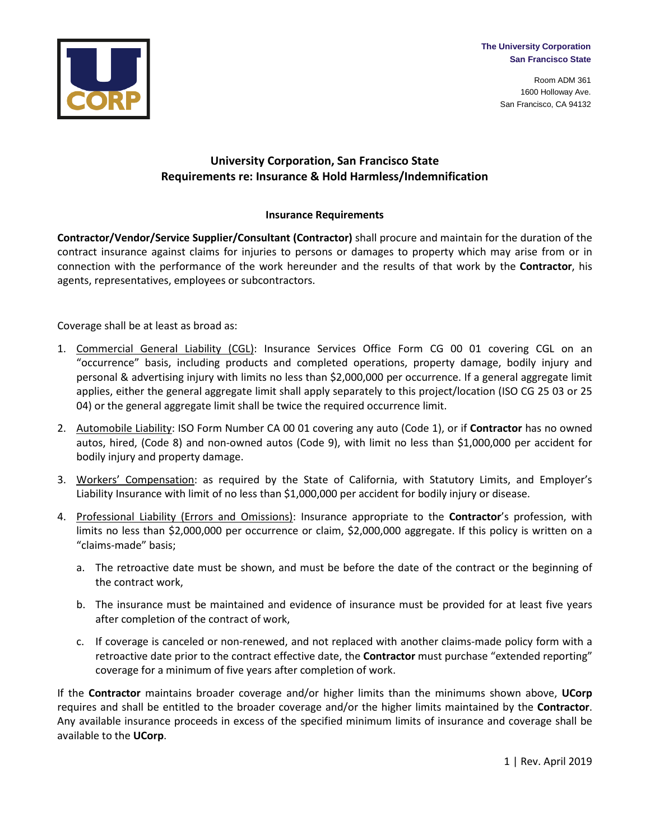**The University Corporation San Francisco State**

> Room ADM 361 1600 Holloway Ave. San Francisco, CA 94132



## **University Corporation, San Francisco State Requirements re: Insurance & Hold Harmless/Indemnification**

## **Insurance Requirements**

**Contractor/Vendor/Service Supplier/Consultant (Contractor)** shall procure and maintain for the duration of the contract insurance against claims for injuries to persons or damages to property which may arise from or in connection with the performance of the work hereunder and the results of that work by the **Contractor**, his agents, representatives, employees or subcontractors.

Coverage shall be at least as broad as:

- 1. Commercial General Liability (CGL): Insurance Services Office Form CG 00 01 covering CGL on an "occurrence" basis, including products and completed operations, property damage, bodily injury and personal & advertising injury with limits no less than \$2,000,000 per occurrence. If a general aggregate limit applies, either the general aggregate limit shall apply separately to this project/location (ISO CG 25 03 or 25 04) or the general aggregate limit shall be twice the required occurrence limit.
- 2. Automobile Liability: ISO Form Number CA 00 01 covering any auto (Code 1), or if **Contractor** has no owned autos, hired, (Code 8) and non-owned autos (Code 9), with limit no less than \$1,000,000 per accident for bodily injury and property damage.
- 3. Workers' Compensation: as required by the State of California, with Statutory Limits, and Employer's Liability Insurance with limit of no less than \$1,000,000 per accident for bodily injury or disease.
- 4. Professional Liability (Errors and Omissions): Insurance appropriate to the **Contractor**'s profession, with limits no less than \$2,000,000 per occurrence or claim, \$2,000,000 aggregate. If this policy is written on a "claims-made" basis;
	- a. The retroactive date must be shown, and must be before the date of the contract or the beginning of the contract work,
	- b. The insurance must be maintained and evidence of insurance must be provided for at least five years after completion of the contract of work,
	- c. If coverage is canceled or non-renewed, and not replaced with another claims-made policy form with a retroactive date prior to the contract effective date, the **Contractor** must purchase "extended reporting" coverage for a minimum of five years after completion of work.

If the **Contractor** maintains broader coverage and/or higher limits than the minimums shown above, **UCorp** requires and shall be entitled to the broader coverage and/or the higher limits maintained by the **Contractor**. Any available insurance proceeds in excess of the specified minimum limits of insurance and coverage shall be available to the **UCorp**.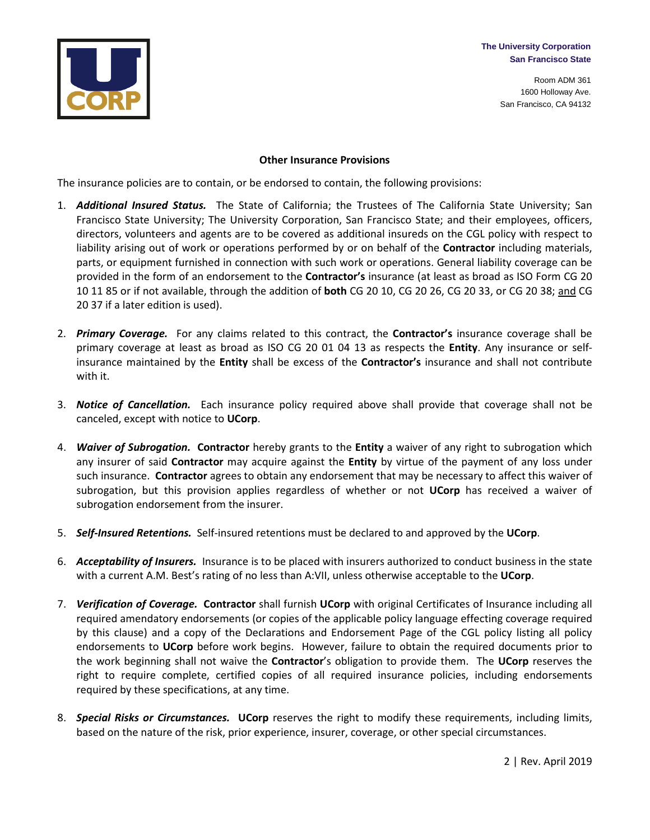

Room ADM 361 1600 Holloway Ave. San Francisco, CA 94132



## **Other Insurance Provisions**

The insurance policies are to contain, or be endorsed to contain, the following provisions:

- 1. *Additional Insured Status.* The State of California; the Trustees of The California State University; San Francisco State University; The University Corporation, San Francisco State; and their employees, officers, directors, volunteers and agents are to be covered as additional insureds on the CGL policy with respect to liability arising out of work or operations performed by or on behalf of the **Contractor** including materials, parts, or equipment furnished in connection with such work or operations. General liability coverage can be provided in the form of an endorsement to the **Contractor's** insurance (at least as broad as ISO Form CG 20 10 11 85 or if not available, through the addition of **both** CG 20 10, CG 20 26, CG 20 33, or CG 20 38; and CG 20 37 if a later edition is used).
- 2. *Primary Coverage.* For any claims related to this contract, the **Contractor's** insurance coverage shall be primary coverage at least as broad as ISO CG 20 01 04 13 as respects the **Entity**. Any insurance or selfinsurance maintained by the **Entity** shall be excess of the **Contractor's** insurance and shall not contribute with it.
- 3. *Notice of Cancellation.* Each insurance policy required above shall provide that coverage shall not be canceled, except with notice to **UCorp**.
- 4. *Waiver of Subrogation.* **Contractor** hereby grants to the **Entity** a waiver of any right to subrogation which any insurer of said **Contractor** may acquire against the **Entity** by virtue of the payment of any loss under such insurance. **Contractor** agrees to obtain any endorsement that may be necessary to affect this waiver of subrogation, but this provision applies regardless of whether or not **UCorp** has received a waiver of subrogation endorsement from the insurer.
- 5. *Self-Insured Retentions.* Self-insured retentions must be declared to and approved by the **UCorp**.
- 6. *Acceptability of Insurers.* Insurance is to be placed with insurers authorized to conduct business in the state with a current A.M. Best's rating of no less than A:VII, unless otherwise acceptable to the **UCorp**.
- 7. *Verification of Coverage.* **Contractor** shall furnish **UCorp** with original Certificates of Insurance including all required amendatory endorsements (or copies of the applicable policy language effecting coverage required by this clause) and a copy of the Declarations and Endorsement Page of the CGL policy listing all policy endorsements to **UCorp** before work begins. However, failure to obtain the required documents prior to the work beginning shall not waive the **Contractor**'s obligation to provide them. The **UCorp** reserves the right to require complete, certified copies of all required insurance policies, including endorsements required by these specifications, at any time.
- 8. *Special Risks or Circumstances.* **UCorp** reserves the right to modify these requirements, including limits, based on the nature of the risk, prior experience, insurer, coverage, or other special circumstances.